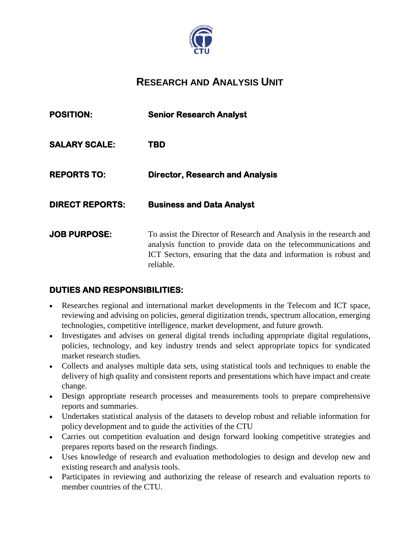

# **RESEARCH AND ANALYSIS UNIT**

| <b>POSITION:</b>       | <b>Senior Research Analyst</b>                                                                                                                                                                                           |
|------------------------|--------------------------------------------------------------------------------------------------------------------------------------------------------------------------------------------------------------------------|
| <b>SALARY SCALE:</b>   | TBD                                                                                                                                                                                                                      |
| <b>REPORTS TO:</b>     | <b>Director, Research and Analysis</b>                                                                                                                                                                                   |
| <b>DIRECT REPORTS:</b> | <b>Business and Data Analyst</b>                                                                                                                                                                                         |
| <b>JOB PURPOSE:</b>    | To assist the Director of Research and Analysis in the research and<br>analysis function to provide data on the telecommunications and<br>ICT Sectors, ensuring that the data and information is robust and<br>reliable. |

#### **DUTIES AND RESPONSIBILITIES:**

- Researches regional and international market developments in the Telecom and ICT space, reviewing and advising on policies, general digitization trends, spectrum allocation, emerging technologies, competitive intelligence, market development, and future growth.
- Investigates and advises on general digital trends including appropriate digital regulations, policies, technology, and key industry trends and select appropriate topics for syndicated market research studies.
- Collects and analyses multiple data sets, using statistical tools and techniques to enable the delivery of high quality and consistent reports and presentations which have impact and create change.
- Design appropriate research processes and measurements tools to prepare comprehensive reports and summaries.
- Undertakes statistical analysis of the datasets to develop robust and reliable information for policy development and to guide the activities of the CTU
- Carries out competition evaluation and design forward looking competitive strategies and prepares reports based on the research findings.
- Uses knowledge of research and evaluation methodologies to design and develop new and existing research and analysis tools.
- Participates in reviewing and authorizing the release of research and evaluation reports to member countries of the CTU.